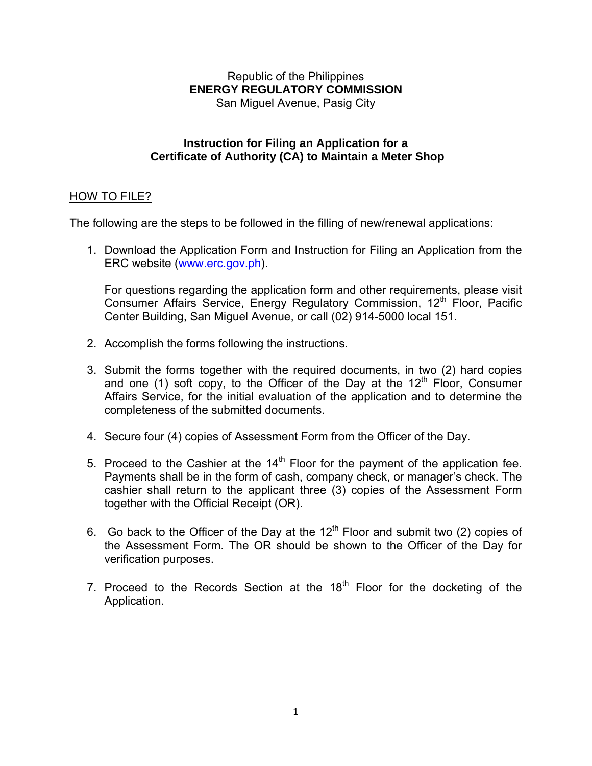#### Republic of the Philippines **ENERGY REGULATORY COMMISSION**  San Miguel Avenue, Pasig City

#### **Instruction for Filing an Application for a Certificate of Authority (CA) to Maintain a Meter Shop**

## HOW TO FILE?

The following are the steps to be followed in the filling of new/renewal applications:

1. Download the Application Form and Instruction for Filing an Application from the ERC website (www.erc.gov.ph).

For questions regarding the application form and other requirements, please visit Consumer Affairs Service, Energy Regulatory Commission, 12<sup>th</sup> Floor, Pacific Center Building, San Miguel Avenue, or call (02) 914-5000 local 151.

- 2. Accomplish the forms following the instructions.
- 3. Submit the forms together with the required documents, in two (2) hard copies and one (1) soft copy, to the Officer of the Day at the  $12<sup>th</sup>$  Floor, Consumer Affairs Service, for the initial evaluation of the application and to determine the completeness of the submitted documents.
- 4. Secure four (4) copies of Assessment Form from the Officer of the Day.
- 5. Proceed to the Cashier at the  $14<sup>th</sup>$  Floor for the payment of the application fee. Payments shall be in the form of cash, company check, or manager's check. The cashier shall return to the applicant three (3) copies of the Assessment Form together with the Official Receipt (OR).
- 6. Go back to the Officer of the Day at the  $12<sup>th</sup>$  Floor and submit two (2) copies of the Assessment Form. The OR should be shown to the Officer of the Day for verification purposes.
- 7. Proceed to the Records Section at the  $18<sup>th</sup>$  Floor for the docketing of the Application.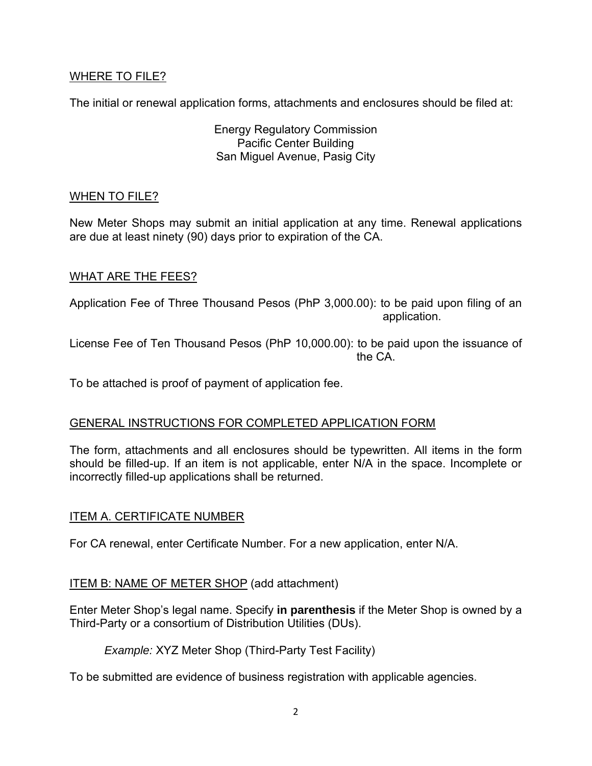## WHERE TO FILE?

The initial or renewal application forms, attachments and enclosures should be filed at:

Energy Regulatory Commission Pacific Center Building San Miguel Avenue, Pasig City

#### WHEN TO FILE?

New Meter Shops may submit an initial application at any time. Renewal applications are due at least ninety (90) days prior to expiration of the CA.

#### WHAT ARE THE FEES?

Application Fee of Three Thousand Pesos (PhP 3,000.00): to be paid upon filing of an application.

License Fee of Ten Thousand Pesos (PhP 10,000.00): to be paid upon the issuance of the CA.

To be attached is proof of payment of application fee.

#### GENERAL INSTRUCTIONS FOR COMPLETED APPLICATION FORM

The form, attachments and all enclosures should be typewritten. All items in the form should be filled-up. If an item is not applicable, enter N/A in the space. Incomplete or incorrectly filled-up applications shall be returned.

#### ITEM A. CERTIFICATE NUMBER

For CA renewal, enter Certificate Number. For a new application, enter N/A.

## ITEM B: NAME OF METER SHOP (add attachment)

Enter Meter Shop's legal name. Specify **in parenthesis** if the Meter Shop is owned by a Third-Party or a consortium of Distribution Utilities (DUs).

*Example:* XYZ Meter Shop (Third-Party Test Facility)

To be submitted are evidence of business registration with applicable agencies.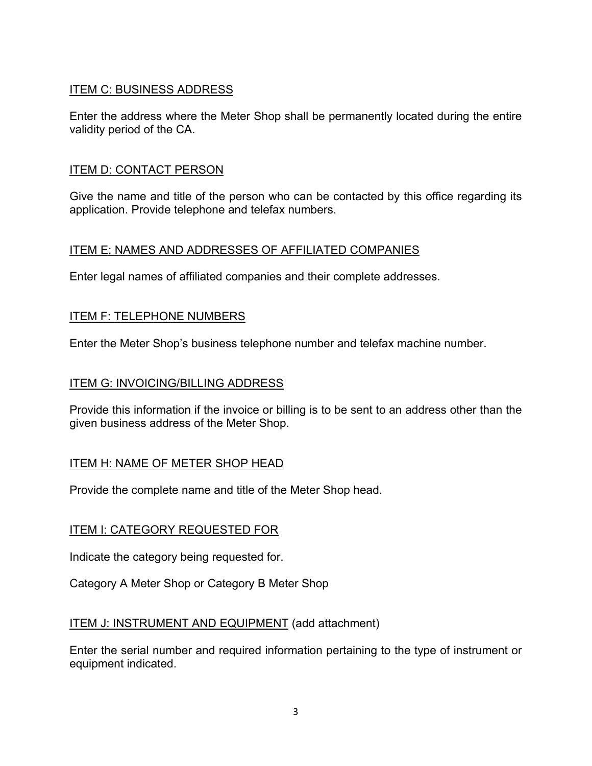# ITEM C: BUSINESS ADDRESS

Enter the address where the Meter Shop shall be permanently located during the entire validity period of the CA.

#### ITEM D: CONTACT PERSON

Give the name and title of the person who can be contacted by this office regarding its application. Provide telephone and telefax numbers.

## ITEM E: NAMES AND ADDRESSES OF AFFILIATED COMPANIES

Enter legal names of affiliated companies and their complete addresses.

#### ITEM F: TELEPHONE NUMBERS

Enter the Meter Shop's business telephone number and telefax machine number.

#### ITEM G: INVOICING/BILLING ADDRESS

Provide this information if the invoice or billing is to be sent to an address other than the given business address of the Meter Shop.

#### ITEM H: NAME OF METER SHOP HEAD

Provide the complete name and title of the Meter Shop head.

## ITEM I: CATEGORY REQUESTED FOR

Indicate the category being requested for.

Category A Meter Shop or Category B Meter Shop

#### ITEM J: INSTRUMENT AND EQUIPMENT (add attachment)

Enter the serial number and required information pertaining to the type of instrument or equipment indicated.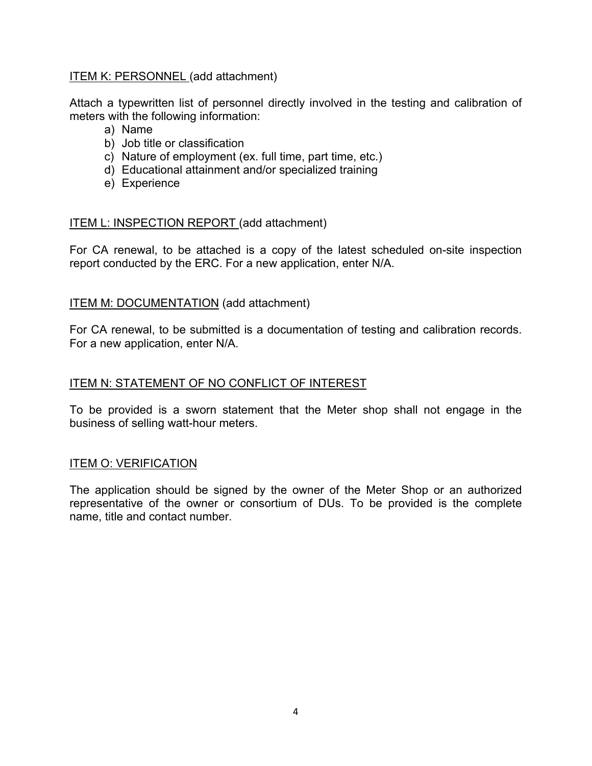#### ITEM K: PERSONNEL (add attachment)

Attach a typewritten list of personnel directly involved in the testing and calibration of meters with the following information:

- a) Name
- b) Job title or classification
- c) Nature of employment (ex. full time, part time, etc.)
- d) Educational attainment and/or specialized training
- e) Experience

#### ITEM L: INSPECTION REPORT (add attachment)

For CA renewal, to be attached is a copy of the latest scheduled on-site inspection report conducted by the ERC. For a new application, enter N/A.

#### ITEM M: DOCUMENTATION (add attachment)

For CA renewal, to be submitted is a documentation of testing and calibration records. For a new application, enter N/A.

#### ITEM N: STATEMENT OF NO CONFLICT OF INTEREST

To be provided is a sworn statement that the Meter shop shall not engage in the business of selling watt-hour meters.

#### ITEM O: VERIFICATION

The application should be signed by the owner of the Meter Shop or an authorized representative of the owner or consortium of DUs. To be provided is the complete name, title and contact number.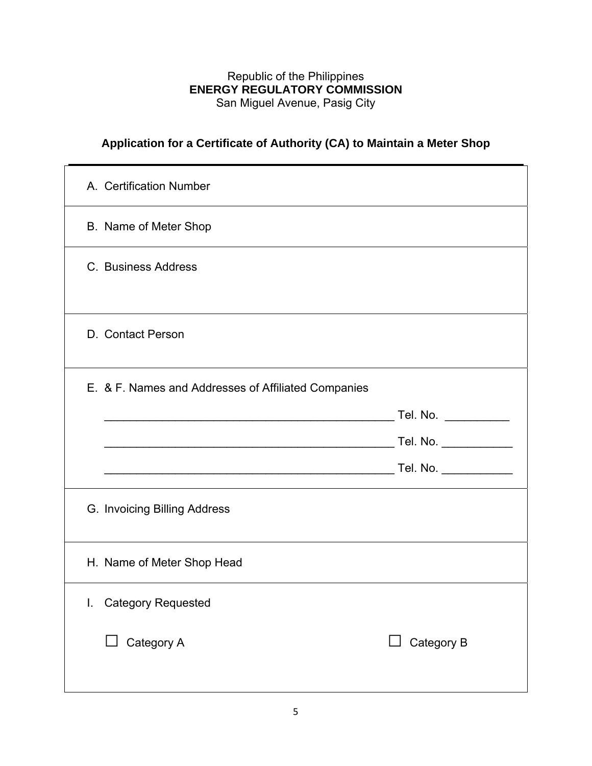## Republic of the Philippines **ENERGY REGULATORY COMMISSION**  San Miguel Avenue, Pasig City

# **Application for a Certificate of Authority (CA) to Maintain a Meter Shop**

| A. Certification Number                             |                      |
|-----------------------------------------------------|----------------------|
| B. Name of Meter Shop                               |                      |
| C. Business Address                                 |                      |
| D. Contact Person                                   |                      |
| E. & F. Names and Addresses of Affiliated Companies |                      |
|                                                     | Tel. No. ___________ |
|                                                     |                      |
|                                                     |                      |
| G. Invoicing Billing Address                        |                      |
| H. Name of Meter Shop Head                          |                      |
| I. Category Requested                               |                      |
| Category A<br>$\Box$                                | Category B           |
|                                                     |                      |